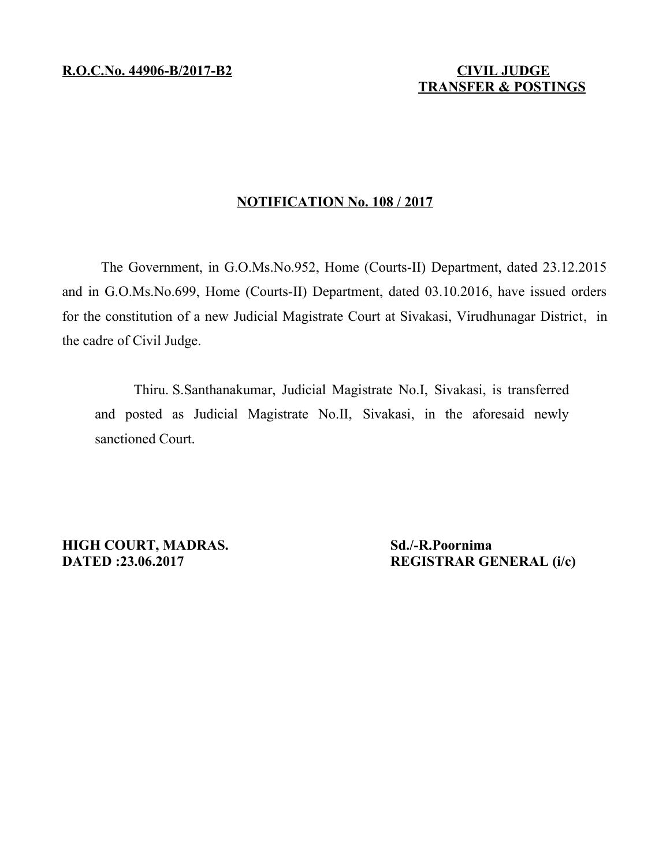# **TRANSFER & POSTINGS**

### **NOTIFICATION No. 108 / 2017**

The Government, in G.O.Ms.No.952, Home (Courts-II) Department, dated 23.12.2015 and in G.O.Ms.No.699, Home (Courts-II) Department, dated 03.10.2016, have issued orders for the constitution of a new Judicial Magistrate Court at Sivakasi, Virudhunagar District, in the cadre of Civil Judge.

Thiru. S.Santhanakumar, Judicial Magistrate No.I, Sivakasi, is transferred and posted as Judicial Magistrate No.II, Sivakasi, in the aforesaid newly sanctioned Court.

**HIGH COURT, MADRAS.** Sd./-R.Poornima

**DATED :23.06.2017 REGISTRAR GENERAL (i/c)**